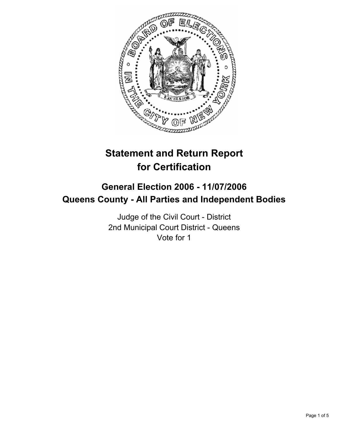

# **Statement and Return Report for Certification**

# **General Election 2006 - 11/07/2006 Queens County - All Parties and Independent Bodies**

Judge of the Civil Court - District 2nd Municipal Court District - Queens Vote for 1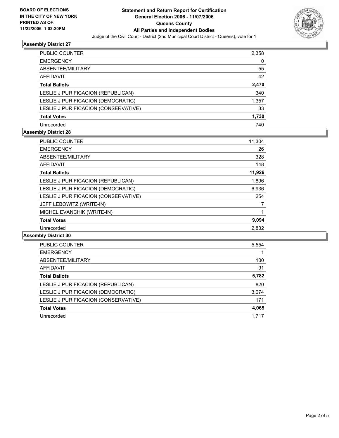

# **Assembly District 27**

| PUBLIC COUNTER                       | 2,358 |
|--------------------------------------|-------|
| <b>EMERGENCY</b>                     | 0     |
| ABSENTEE/MILITARY                    | 55    |
| <b>AFFIDAVIT</b>                     | 42    |
| <b>Total Ballots</b>                 | 2,470 |
| LESLIE J PURIFICACION (REPUBLICAN)   | 340   |
| LESLIE J PURIFICACION (DEMOCRATIC)   | 1,357 |
| LESLIE J PURIFICACION (CONSERVATIVE) | 33    |
| <b>Total Votes</b>                   | 1,730 |
| Unrecorded                           | 740   |

# **Assembly District 28**

| <b>PUBLIC COUNTER</b>                | 11,304 |
|--------------------------------------|--------|
| <b>EMERGENCY</b>                     | 26     |
| ABSENTEE/MILITARY                    | 328    |
| AFFIDAVIT                            | 148    |
| <b>Total Ballots</b>                 | 11,926 |
| LESLIE J PURIFICACION (REPUBLICAN)   | 1,896  |
| LESLIE J PURIFICACION (DEMOCRATIC)   | 6,936  |
| LESLIE J PURIFICACION (CONSERVATIVE) | 254    |
| JEFF LEBOWITZ (WRITE-IN)             |        |
| MICHEL EVANCHIK (WRITE-IN)           |        |
| <b>Total Votes</b>                   | 9,094  |
| Unrecorded                           | 2,832  |

# **Assembly District 30**

| <b>PUBLIC COUNTER</b>                | 5,554 |
|--------------------------------------|-------|
| <b>EMERGENCY</b>                     |       |
| ABSENTEE/MILITARY                    | 100   |
| AFFIDAVIT                            | 91    |
| <b>Total Ballots</b>                 | 5,782 |
| LESLIE J PURIFICACION (REPUBLICAN)   | 820   |
| LESLIE J PURIFICACION (DEMOCRATIC)   | 3,074 |
| LESLIE J PURIFICACION (CONSERVATIVE) | 171   |
| <b>Total Votes</b>                   | 4,065 |
| Unrecorded                           | 1.717 |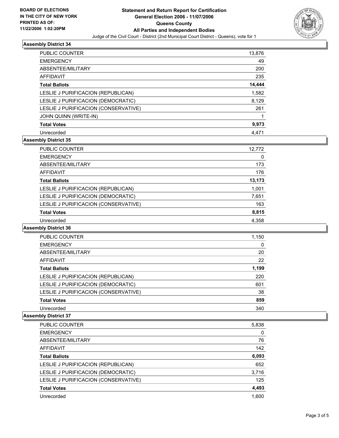

# **Assembly District 34**

| PUBLIC COUNTER                       | 13,876 |
|--------------------------------------|--------|
| <b>EMERGENCY</b>                     | 49     |
| ABSENTEE/MILITARY                    | 200    |
| AFFIDAVIT                            | 235    |
| <b>Total Ballots</b>                 | 14,444 |
| LESLIE J PURIFICACION (REPUBLICAN)   | 1,582  |
| LESLIE J PURIFICACION (DEMOCRATIC)   | 8,129  |
| LESLIE J PURIFICACION (CONSERVATIVE) | 261    |
| JOHN QUINN (WRITE-IN)                |        |
| <b>Total Votes</b>                   | 9,973  |
| Unrecorded                           | 4.471  |

# **Assembly District 35**

| <b>Total Votes</b><br>Unrecorded     | 8,815<br>4,358 |
|--------------------------------------|----------------|
| LESLIE J PURIFICACION (CONSERVATIVE) | 163            |
| LESLIE J PURIFICACION (DEMOCRATIC)   | 7,651          |
| LESLIE J PURIFICACION (REPUBLICAN)   | 1,001          |
| <b>Total Ballots</b>                 | 13,173         |
| AFFIDAVIT                            | 176            |
| ABSENTEE/MILITARY                    | 173            |
| <b>EMERGENCY</b>                     | 0              |
| PUBLIC COUNTER                       | 12,772         |

# **Assembly District 36**

| PUBLIC COUNTER                       | 1,150 |  |
|--------------------------------------|-------|--|
| <b>EMERGENCY</b>                     | 0     |  |
| ABSENTEE/MILITARY                    | 20    |  |
| <b>AFFIDAVIT</b>                     | 22    |  |
| <b>Total Ballots</b>                 | 1,199 |  |
| LESLIE J PURIFICACION (REPUBLICAN)   | 220   |  |
| LESLIE J PURIFICACION (DEMOCRATIC)   | 601   |  |
| LESLIE J PURIFICACION (CONSERVATIVE) | 38    |  |
| <b>Total Votes</b>                   | 859   |  |
| Unrecorded                           | 340   |  |

# **Assembly District 37**

| PUBLIC COUNTER<br>5,838                     |     |
|---------------------------------------------|-----|
| <b>EMERGENCY</b>                            | 0   |
| ABSENTEE/MILITARY                           | 76  |
| AFFIDAVIT                                   | 142 |
| 6,093<br><b>Total Ballots</b>               |     |
| 652<br>LESLIE J PURIFICACION (REPUBLICAN)   |     |
| LESLIE J PURIFICACION (DEMOCRATIC)<br>3,716 |     |
| LESLIE J PURIFICACION (CONSERVATIVE)        | 125 |
| 4,493<br><b>Total Votes</b>                 |     |
| 1,600<br>Unrecorded                         |     |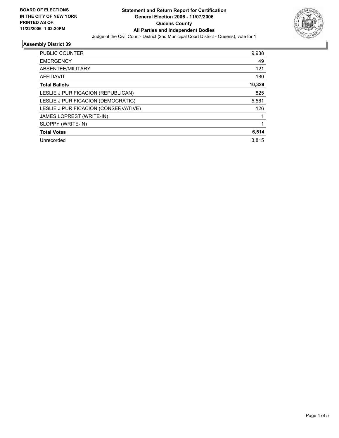

# **Assembly District 39**

| PUBLIC COUNTER                       | 9,938  |
|--------------------------------------|--------|
| <b>EMERGENCY</b>                     | 49     |
| ABSENTEE/MILITARY                    | 121    |
| AFFIDAVIT                            | 180    |
| <b>Total Ballots</b>                 | 10,329 |
| LESLIE J PURIFICACION (REPUBLICAN)   | 825    |
| LESLIE J PURIFICACION (DEMOCRATIC)   | 5,561  |
| LESLIE J PURIFICACION (CONSERVATIVE) | 126    |
| JAMES LOPREST (WRITE-IN)             |        |
| SLOPPY (WRITE-IN)                    |        |
| <b>Total Votes</b>                   | 6,514  |
| Unrecorded                           | 3.815  |